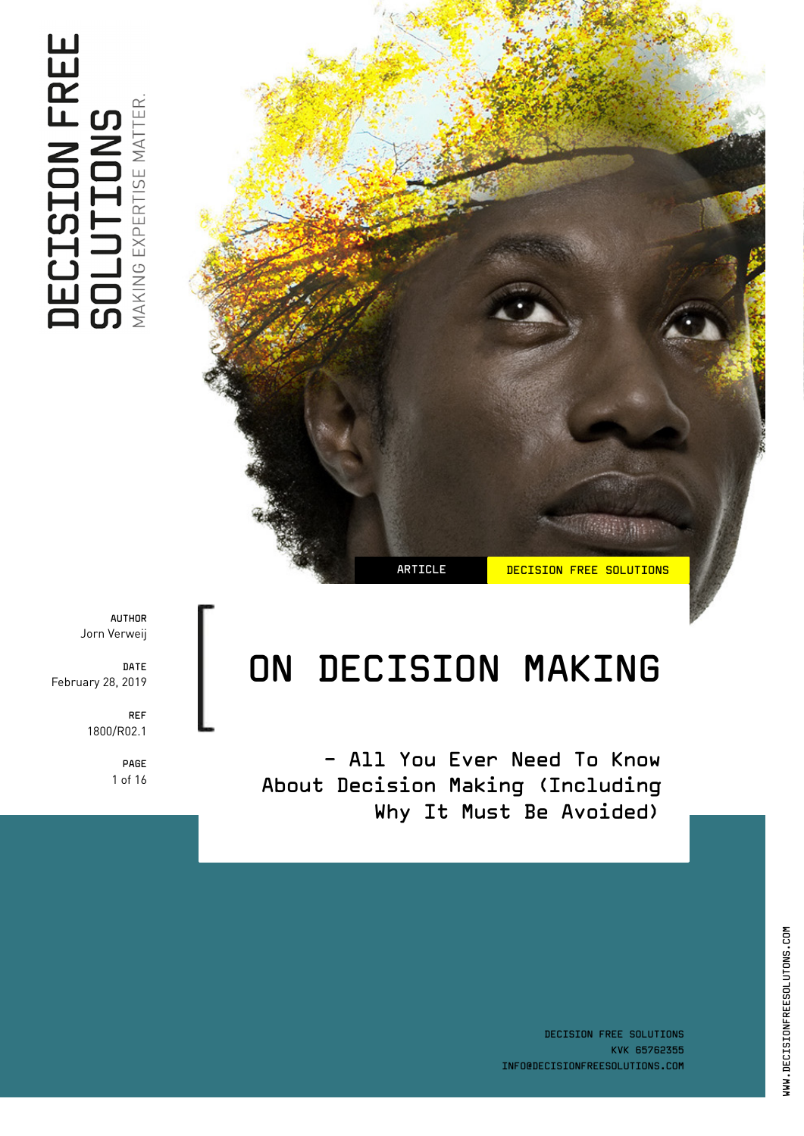ARTICLE **DECISION FREE SOLUTIONS** 

# ON DECISION MAKING

- All You Ever Need To Know About Decision Making (Including Why It Must Be Avoided)

AUTHOR Jorn Verweij

DATE February 28, 2019

> REF 1800/R02.1

> > PAGE 1 of 16

DECISION FREE SOLUTIONS KVK 65762355 INFO@DECISIONFREESOLUTIONS.COM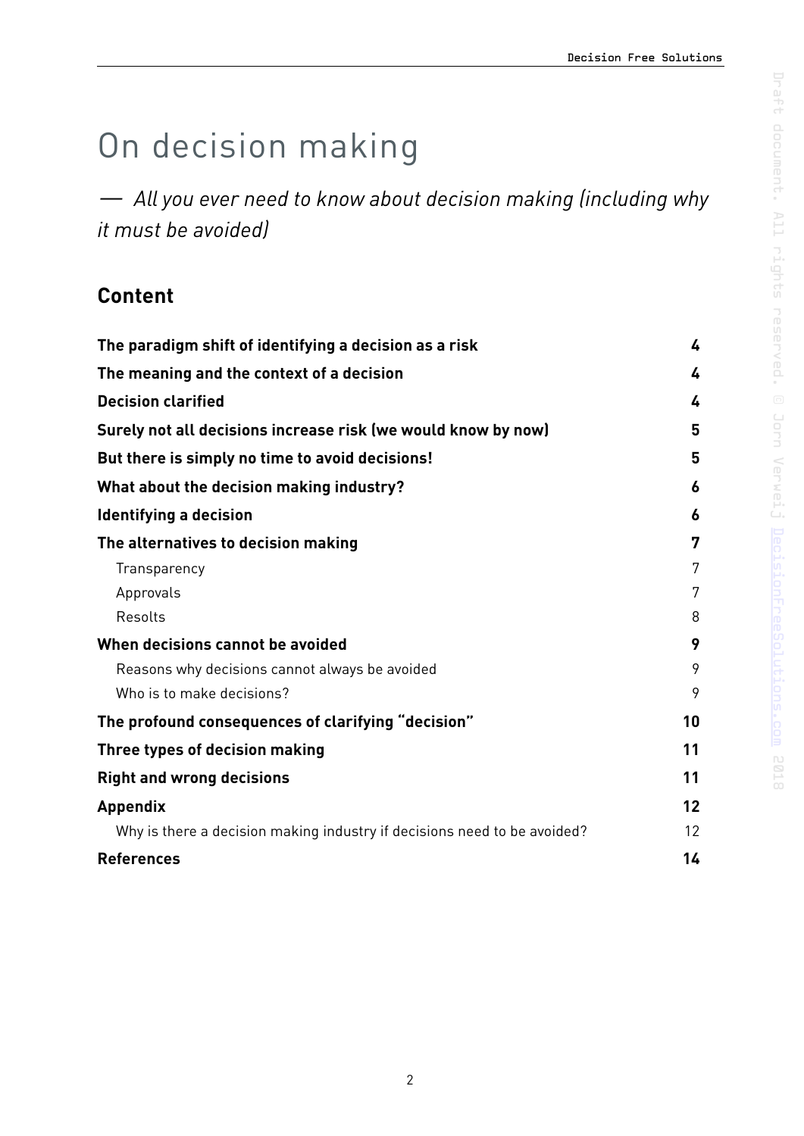# On decision making

*— All you ever need to know about decision making (including why it must be avoided)* 

# **Content**

| The paradigm shift of identifying a decision as a risk                   | 4  |
|--------------------------------------------------------------------------|----|
| The meaning and the context of a decision                                | 4  |
| <b>Decision clarified</b>                                                | 4  |
| Surely not all decisions increase risk (we would know by now)            | 5  |
| But there is simply no time to avoid decisions!                          | 5  |
| What about the decision making industry?                                 | 6  |
| <b>Identifying a decision</b>                                            | 6  |
| The alternatives to decision making                                      | 7  |
| Transparency                                                             | 7  |
| Approvals                                                                | 7  |
| Resolts                                                                  | 8  |
| When decisions cannot be avoided                                         | 9  |
| Reasons why decisions cannot always be avoided                           | 9  |
| Who is to make decisions?                                                | 9  |
| The profound consequences of clarifying "decision"                       | 10 |
| Three types of decision making                                           | 11 |
| <b>Right and wrong decisions</b>                                         | 11 |
| <b>Appendix</b>                                                          | 12 |
| Why is there a decision making industry if decisions need to be avoided? | 12 |
| <b>References</b>                                                        | 14 |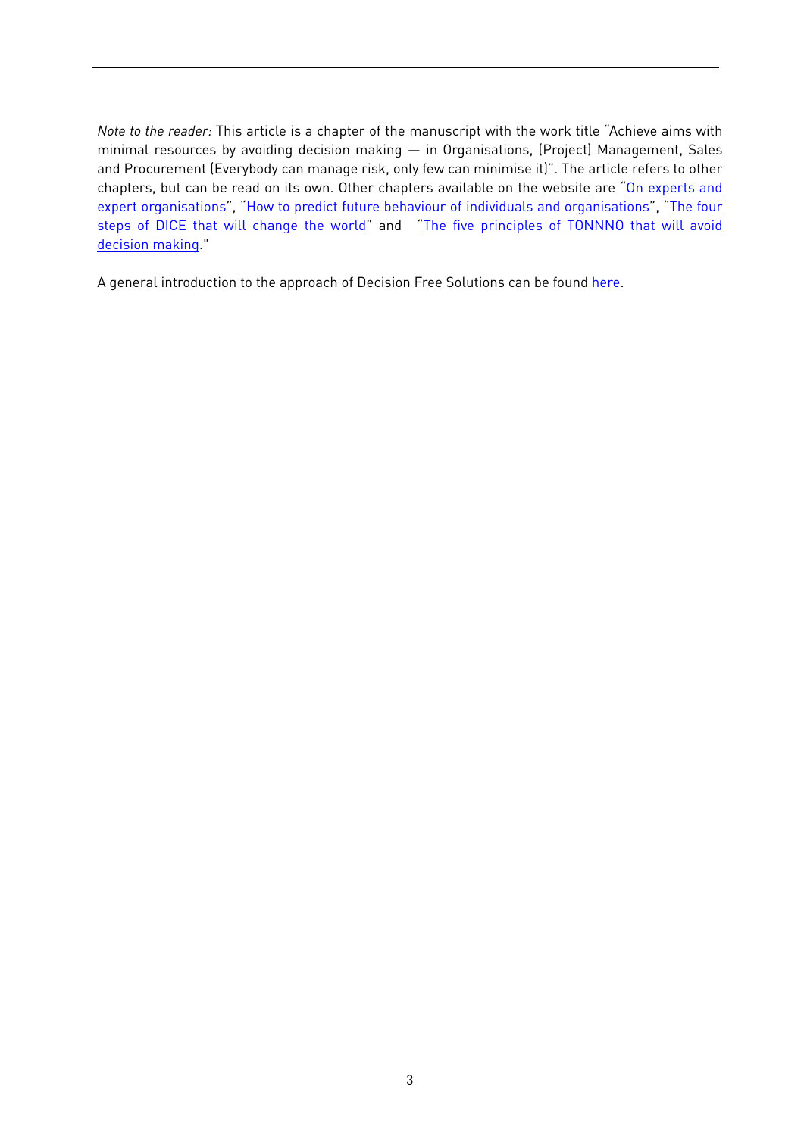*Note to the reader:* This article is a chapter of the manuscript with the work title "Achieve aims with minimal resources by avoiding decision making — in Organisations, (Project) Management, Sales and Procurement (Everybody can manage risk, only few can minimise it)". The article refers to other chapters, but can be read on its own. Other chapters available on the [website](http://decisionfreesolutions.com) are "[On experts and](https://decisionfreesolutions.com/publication/on-experts-and-expert-organisations/) [expert organisations"](https://decisionfreesolutions.com/publication/on-experts-and-expert-organisations/), ["How to predict future behaviour of individuals and organisations](https://decisionfreesolutions.com/publication/how-to-predict-future-behaviour-of-individuals-and-organisations/)", "[The four](https://decisionfreesolutions.com/publication/dice-will-save-the-world/) [steps of DICE that will change the world](https://decisionfreesolutions.com/publication/dice-will-save-the-world/)" and "[The five principles of TONNNO that will avoid](https://decisionfreesolutions.com/publication/the-five-principles-of-tonnno/) [decision making.](https://decisionfreesolutions.com/publication/the-five-principles-of-tonnno/)

A general introduction to the approach of Decision Free Solutions can be found [here](https://decisionfreesolutions.com/publication/the-approach-of-decision-free-solutions/).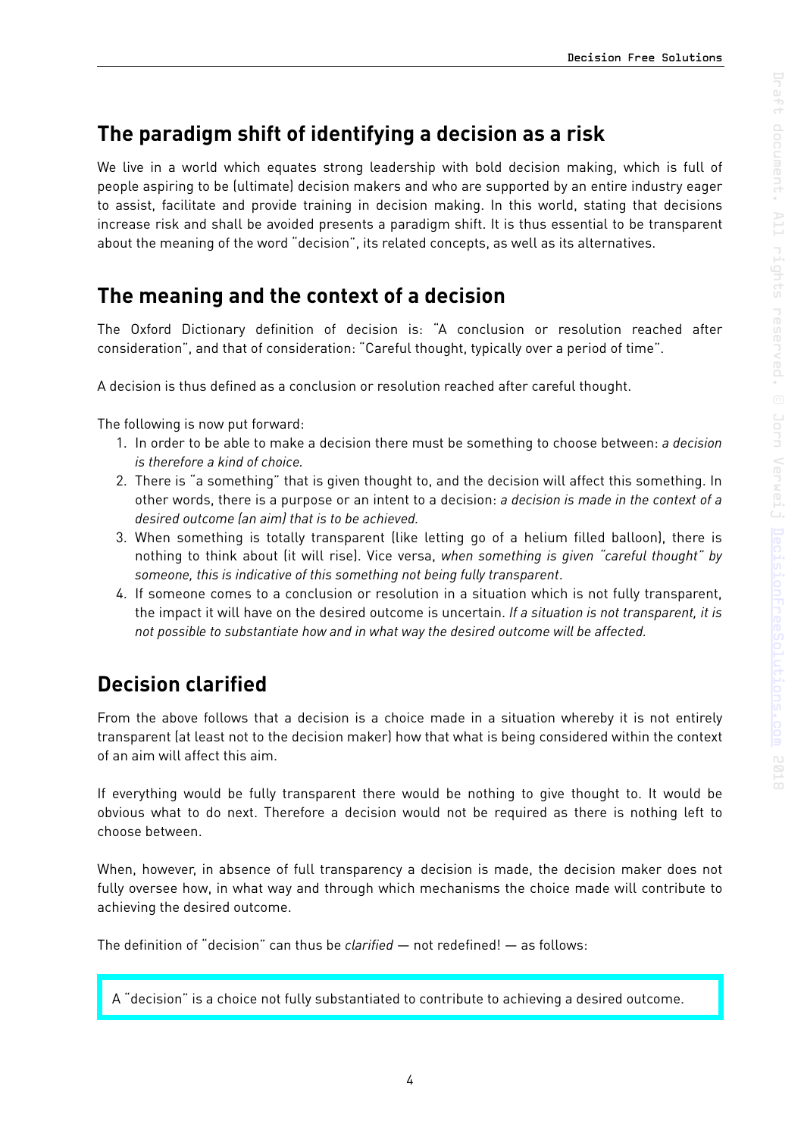## <span id="page-3-0"></span>**The paradigm shift of identifying a decision as a risk**

We live in a world which equates strong leadership with bold decision making, which is full of people aspiring to be (ultimate) decision makers and who are supported by an entire industry eager to assist, facilitate and provide training in decision making. In this world, stating that decisions increase risk and shall be avoided presents a paradigm shift. It is thus essential to be transparent about the meaning of the word "decision", its related concepts, as well as its alternatives.

## <span id="page-3-1"></span>**The meaning and the context of a decision**

The Oxford Dictionary definition of decision is: "A conclusion or resolution reached after consideration", and that of consideration: "Careful thought, typically over a period of time".

A decision is thus defined as a conclusion or resolution reached after careful thought.

The following is now put forward:

- 1. In order to be able to make a decision there must be something to choose between: *a decision is therefore a kind of choice.*
- 2. There is "a something" that is given thought to, and the decision will affect this something. In other words, there is a purpose or an intent to a decision: *a decision is made in the context of a desired outcome (an aim) that is to be achieved.*
- 3. When something is totally transparent (like letting go of a helium filled balloon), there is nothing to think about (it will rise). Vice versa, *when something is given "careful thought" by someone, this is indicative of this something not being fully transparent*.
- 4. If someone comes to a conclusion or resolution in a situation which is not fully transparent, the impact it will have on the desired outcome is uncertain. *If a situation is not transparent, it is not possible to substantiate how and in what way the desired outcome will be affected.*

# <span id="page-3-2"></span>**Decision clarified**

From the above follows that a decision is a choice made in a situation whereby it is not entirely transparent (at least not to the decision maker) how that what is being considered within the context of an aim will affect this aim.

If everything would be fully transparent there would be nothing to give thought to. It would be obvious what to do next. Therefore a decision would not be required as there is nothing left to choose between.

When, however, in absence of full transparency a decision is made, the decision maker does not fully oversee how, in what way and through which mechanisms the choice made will contribute to achieving the desired outcome.

The definition of "decision" can thus be *clarified* — not redefined! — as follows:

A "decision" is a choice not fully substantiated to contribute to achieving a desired outcome.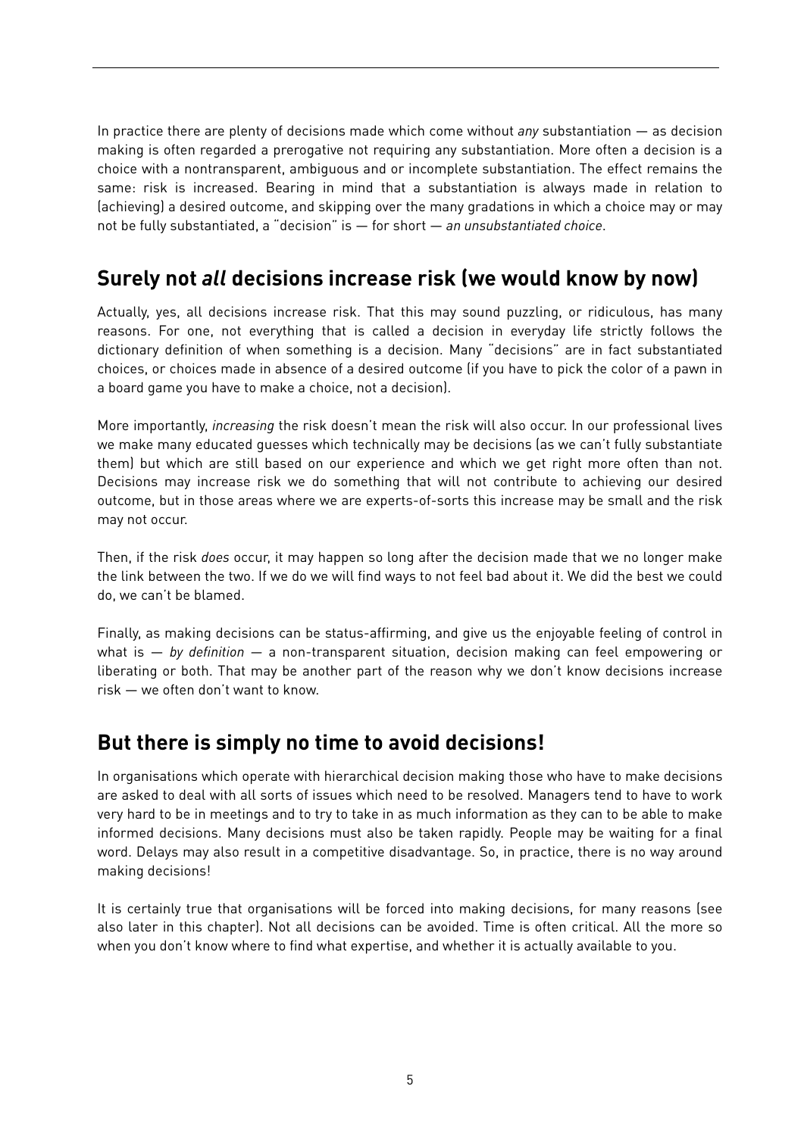In practice there are plenty of decisions made which come without *any* substantiation — as decision making is often regarded a prerogative not requiring any substantiation. More often a decision is a choice with a nontransparent, ambiguous and or incomplete substantiation. The effect remains the same: risk is increased. Bearing in mind that a substantiation is always made in relation to (achieving) a desired outcome, and skipping over the many gradations in which a choice may or may not be fully substantiated, a "decision" is — for short — *an unsubstantiated choice*.

# <span id="page-4-0"></span>**Surely not** *all* **decisions increase risk (we would know by now)**

Actually, yes, all decisions increase risk. That this may sound puzzling, or ridiculous, has many reasons. For one, not everything that is called a decision in everyday life strictly follows the dictionary definition of when something is a decision. Many "decisions" are in fact substantiated choices, or choices made in absence of a desired outcome (if you have to pick the color of a pawn in a board game you have to make a choice, not a decision).

More importantly, *increasing* the risk doesn't mean the risk will also occur. In our professional lives we make many educated guesses which technically may be decisions (as we can't fully substantiate them) but which are still based on our experience and which we get right more often than not. Decisions may increase risk we do something that will not contribute to achieving our desired outcome, but in those areas where we are experts-of-sorts this increase may be small and the risk may not occur.

Then, if the risk *does* occur, it may happen so long after the decision made that we no longer make the link between the two. If we do we will find ways to not feel bad about it. We did the best we could do, we can't be blamed.

Finally, as making decisions can be status-affirming, and give us the enjoyable feeling of control in what is — *by definition —* a non-transparent situation, decision making can feel empowering or liberating or both. That may be another part of the reason why we don't know decisions increase risk — we often don't want to know.

## <span id="page-4-1"></span>**But there is simply no time to avoid decisions!**

In organisations which operate with hierarchical decision making those who have to make decisions are asked to deal with all sorts of issues which need to be resolved. Managers tend to have to work very hard to be in meetings and to try to take in as much information as they can to be able to make informed decisions. Many decisions must also be taken rapidly. People may be waiting for a final word. Delays may also result in a competitive disadvantage. So, in practice, there is no way around making decisions!

It is certainly true that organisations will be forced into making decisions, for many reasons (see also later in this chapter). Not all decisions can be avoided. Time is often critical. All the more so when you don't know where to find what expertise, and whether it is actually available to you.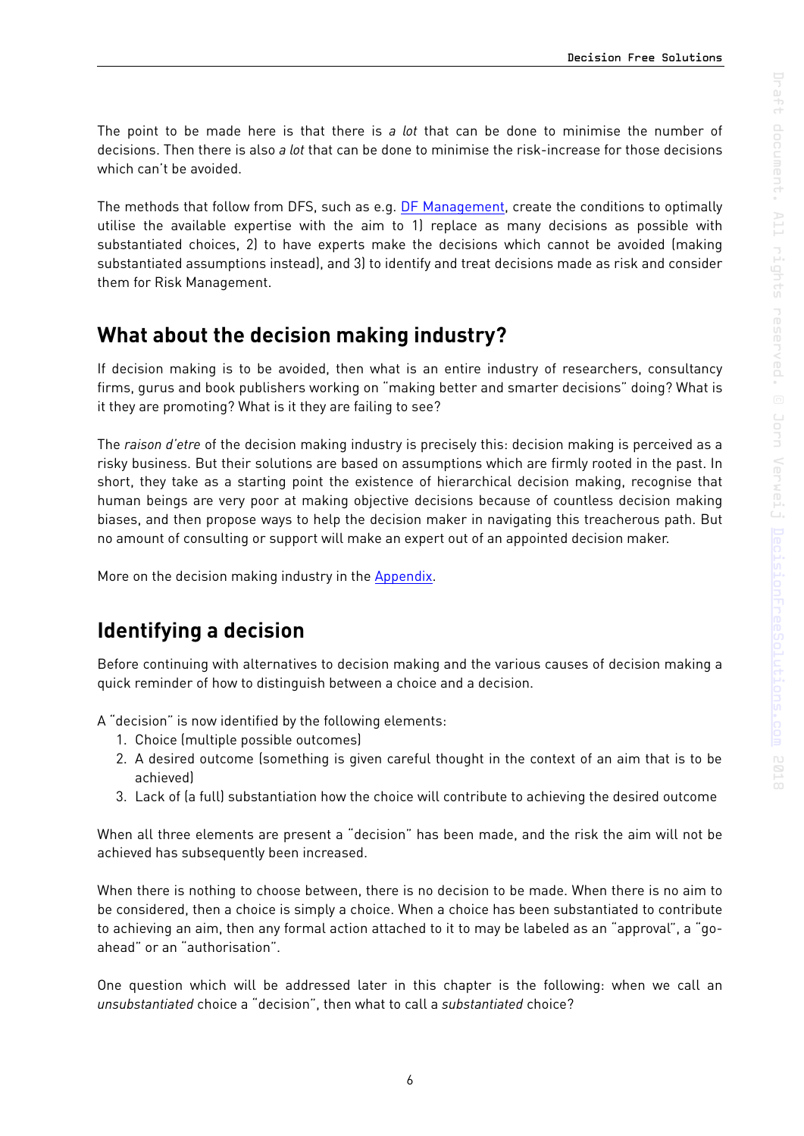The point to be made here is that there is *a lot* that can be done to minimise the number of decisions. Then there is also *a lot* that can be done to minimise the risk-increase for those decisions which can't be avoided.

The methods that follow from DFS, such as e.g. [DF Management,](https://decisionfreesolutions.com/publication/decision-free-management/) create the conditions to optimally utilise the available expertise with the aim to 1) replace as many decisions as possible with substantiated choices, 2) to have experts make the decisions which cannot be avoided (making substantiated assumptions instead), and 3) to identify and treat decisions made as risk and consider them for Risk Management.

# <span id="page-5-0"></span>**What about the decision making industry?**

If decision making is to be avoided, then what is an entire industry of researchers, consultancy firms, gurus and book publishers working on "making better and smarter decisions" doing? What is it they are promoting? What is it they are failing to see?

The *raison d'etre* of the decision making industry is precisely this: decision making is perceived as a risky business. But their solutions are based on assumptions which are firmly rooted in the past. In short, they take as a starting point the existence of hierarchical decision making, recognise that human beings are very poor at making objective decisions because of countless decision making biases, and then propose ways to help the decision maker in navigating this treacherous path. But no amount of consulting or support will make an expert out of an appointed decision maker.

More on the decision making industry in the [Appendix](#page-11-0).

# <span id="page-5-1"></span>**Identifying a decision**

Before continuing with alternatives to decision making and the various causes of decision making a quick reminder of how to distinguish between a choice and a decision.

A "decision" is now identified by the following elements:

- 1. Choice (multiple possible outcomes)
- 2. A desired outcome (something is given careful thought in the context of an aim that is to be achieved)
- 3. Lack of (a full) substantiation how the choice will contribute to achieving the desired outcome

When all three elements are present a "decision" has been made, and the risk the aim will not be achieved has subsequently been increased.

When there is nothing to choose between, there is no decision to be made. When there is no aim to be considered, then a choice is simply a choice. When a choice has been substantiated to contribute to achieving an aim, then any formal action attached to it to may be labeled as an "approval", a "goahead" or an "authorisation".

One question which will be addressed later in this chapter is the following: when we call an *unsubstantiated* choice a "decision", then what to call a *substantiated* choice?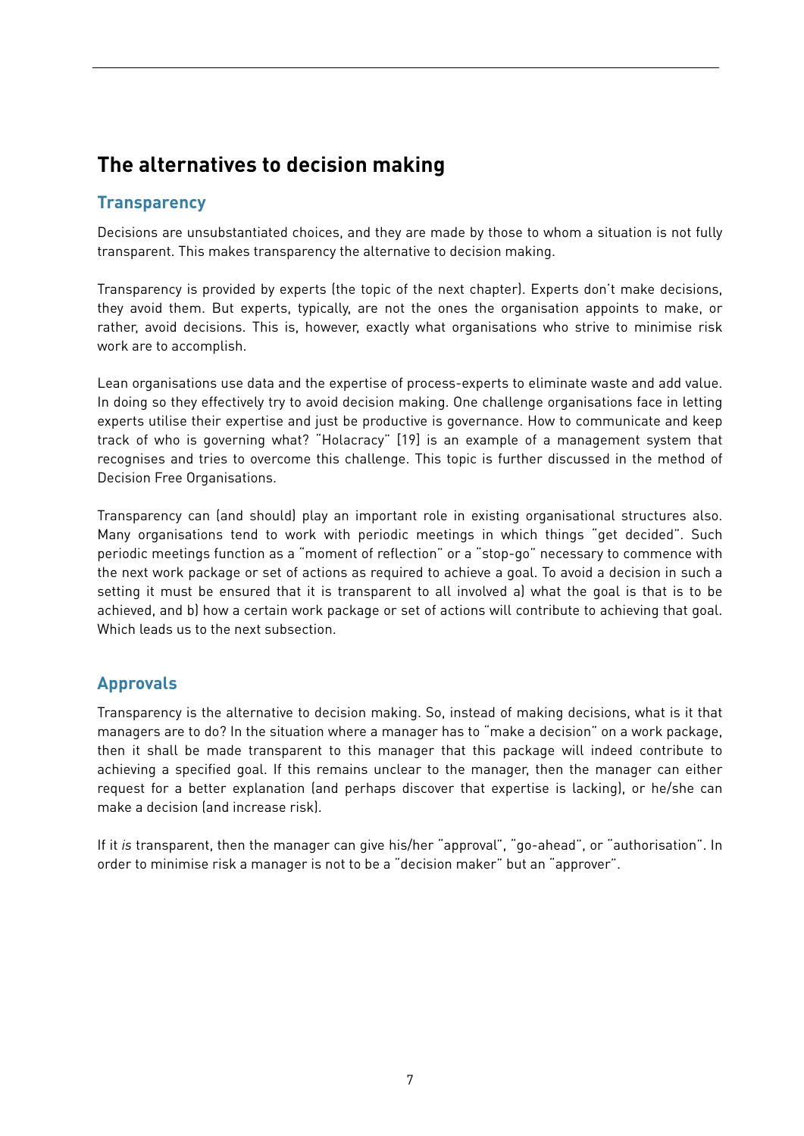# <span id="page-6-0"></span>**The alternatives to decision making**

#### <span id="page-6-1"></span>**Transparency**

Decisions are unsubstantiated choices, and they are made by those to whom a situation is not fully transparent. This makes transparency the alternative to decision making.

Transparency is provided by experts (the topic of the next chapter). Experts don't make decisions, they avoid them. But experts, typically, are not the ones the organisation appoints to make, or rather, avoid decisions. This is, however, exactly what organisations who strive to minimise risk work are to accomplish.

Lean organisations use data and the expertise of process-experts to eliminate waste and add value. In doing so they effectively try to avoid decision making. One challenge organisations face in letting experts utilise their expertise and just be productive is governance. How to communicate and keep track of who is governing what? "Holacracy" [19] is an example of a management system that recognises and tries to overcome this challenge. This topic is further discussed in the method of Decision Free Organisations.

Transparency can (and should) play an important role in existing organisational structures also. Many organisations tend to work with periodic meetings in which things "get decided". Such periodic meetings function as a "moment of reflection" or a "stop-go" necessary to commence with the next work package or set of actions as required to achieve a goal. To avoid a decision in such a setting it must be ensured that it is transparent to all involved a) what the goal is that is to be achieved, and b) how a certain work package or set of actions will contribute to achieving that goal. Which leads us to the next subsection.

#### <span id="page-6-2"></span>**Approvals**

Transparency is the alternative to decision making. So, instead of making decisions, what is it that managers are to do? In the situation where a manager has to "make a decision" on a work package, then it shall be made transparent to this manager that this package will indeed contribute to achieving a specified goal. If this remains unclear to the manager, then the manager can either request for a better explanation (and perhaps discover that expertise is lacking), or he/she can make a decision (and increase risk).

If it *is* transparent, then the manager can give his/her "approval", "go-ahead", or "authorisation". In order to minimise risk a manager is not to be a "decision maker" but an "approver".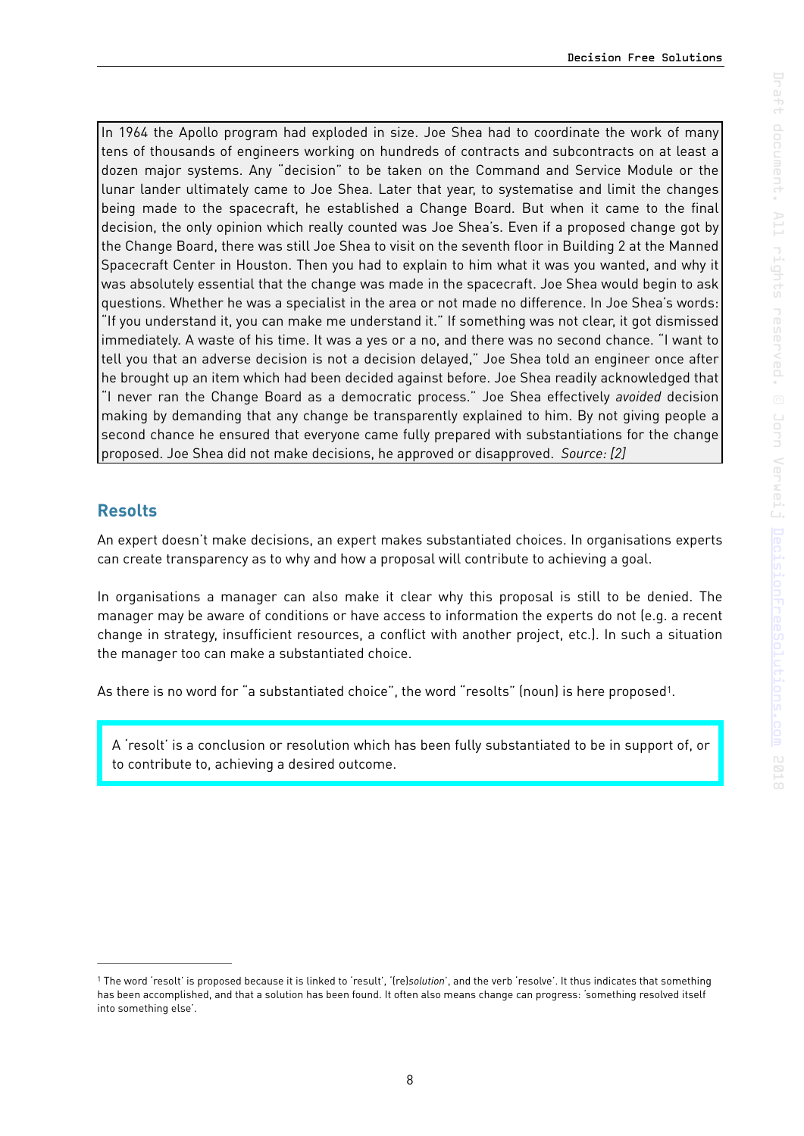In 1964 the Apollo program had exploded in size. Joe Shea had to coordinate the work of many tens of thousands of engineers working on hundreds of contracts and subcontracts on at least a dozen major systems. Any "decision" to be taken on the Command and Service Module or the lunar lander ultimately came to Joe Shea. Later that year, to systematise and limit the changes being made to the spacecraft, he established a Change Board. But when it came to the final decision, the only opinion which really counted was Joe Shea's. Even if a proposed change got by the Change Board, there was still Joe Shea to visit on the seventh floor in Building 2 at the Manned Spacecraft Center in Houston. Then you had to explain to him what it was you wanted, and why it was absolutely essential that the change was made in the spacecraft. Joe Shea would begin to ask questions. Whether he was a specialist in the area or not made no difference. In Joe Shea's words: "If you understand it, you can make me understand it." If something was not clear, it got dismissed immediately. A waste of his time. It was a yes or a no, and there was no second chance. "I want to tell you that an adverse decision is not a decision delayed," Joe Shea told an engineer once after he brought up an item which had been decided against before. Joe Shea readily acknowledged that "I never ran the Change Board as a democratic process." Joe Shea effectively *avoided* decision making by demanding that any change be transparently explained to him. By not giving people a second chance he ensured that everyone came fully prepared with substantiations for the change proposed. Joe Shea did not make decisions, he approved or disapproved. *Source: [2]*

#### <span id="page-7-0"></span>**Resolts**

An expert doesn't make decisions, an expert makes substantiated choices. In organisations experts can create transparency as to why and how a proposal will contribute to achieving a goal.

In organisations a manager can also make it clear why this proposal is still to be denied. The manager may be aware of conditions or have access to information the experts do not (e.g. a recent change in strategy, insufficient resources, a conflict with another project, etc.). In such a situation the manager too can make a substantiated choice.

As there is no word for "a substantiated choice", the word "resolts" (noun) is here proposed<sup>1</sup>.

<span id="page-7-2"></span>A 'resolt' is a conclusion or resolution which has been fully substantiated to be in support of, or to contribute to, achieving a desired outcome.

<span id="page-7-1"></span><sup>&</sup>lt;sup>[1](#page-7-2)</sup> The word 'resolt' is proposed because it is linked to 'result', '(re)solution', and the verb 'resolve'. It thus indicates that something has been accomplished, and that a solution has been found. It often also means change can progress: 'something resolved itself into something else'.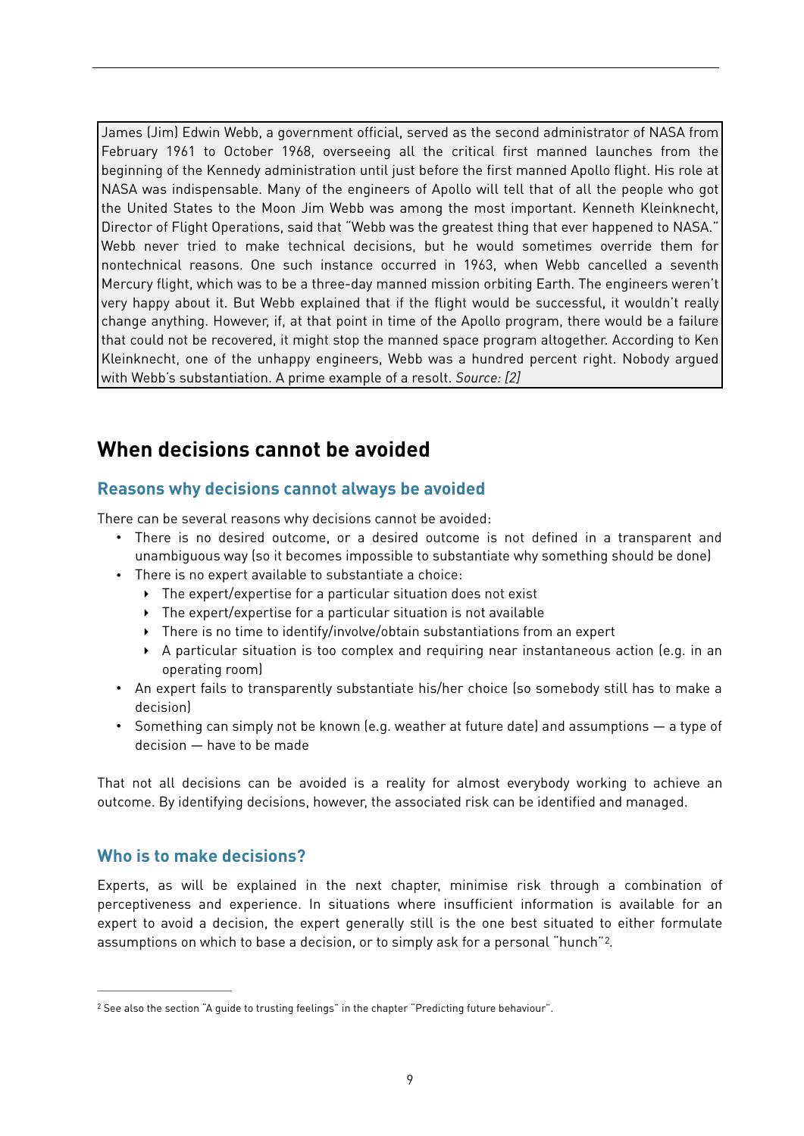James (Jim) Edwin Webb, a government official, served as the second administrator of NASA from February 1961 to October 1968, overseeing all the critical first manned launches from the beginning of the Kennedy administration until just before the first manned Apollo flight. His role at NASA was indispensable. Many of the engineers of Apollo will tell that of all the people who got the United States to the Moon Jim Webb was among the most important. Kenneth Kleinknecht, Director of Flight Operations, said that "Webb was the greatest thing that ever happened to NASA." Webb never tried to make technical decisions, but he would sometimes override them for nontechnical reasons. One such instance occurred in 1963, when Webb cancelled a seventh Mercury flight, which was to be a three-day manned mission orbiting Earth. The engineers weren't very happy about it. But Webb explained that if the flight would be successful, it wouldn't really change anything. However, if, at that point in time of the Apollo program, there would be a failure that could not be recovered, it might stop the manned space program altogether. According to Ken Kleinknecht, one of the unhappy engineers, Webb was a hundred percent right. Nobody argued with Webb's substantiation. A prime example of a resolt. *Source: [2]*

## <span id="page-8-0"></span>**When decisions cannot be avoided**

#### <span id="page-8-1"></span>**Reasons why decisions cannot always be avoided**

There can be several reasons why decisions cannot be avoided:

- There is no desired outcome, or a desired outcome is not defined in a transparent and unambiguous way (so it becomes impossible to substantiate why something should be done)
- There is no expert available to substantiate a choice:
	- ‣ The expert/expertise for a particular situation does not exist
	- ‣ The expert/expertise for a particular situation is not available
	- ‣ There is no time to identify/involve/obtain substantiations from an expert
	- ‣ A particular situation is too complex and requiring near instantaneous action (e.g. in an operating room)
- An expert fails to transparently substantiate his/her choice (so somebody still has to make a decision)
- Something can simply not be known (e.g. weather at future date) and assumptions a type of decision — have to be made

That not all decisions can be avoided is a reality for almost everybody working to achieve an outcome. By identifying decisions, however, the associated risk can be identified and managed.

#### <span id="page-8-2"></span>**Who is to make decisions?**

<span id="page-8-4"></span>Experts, as will be explained in the next chapter, minimise risk through a combination of perceptiveness and experience. In situations where insufficient information is available for an expert to avoid a decision, the expert generally still is the one best situated to either formulate assumptions on which to base a decision, or to simply ask for a personal "hunch"[2](#page-8-3).

<span id="page-8-3"></span><sup>&</sup>lt;sup>[2](#page-8-4)</sup> See also the section "A quide to trusting feelings" in the chapter "Predicting future behaviour".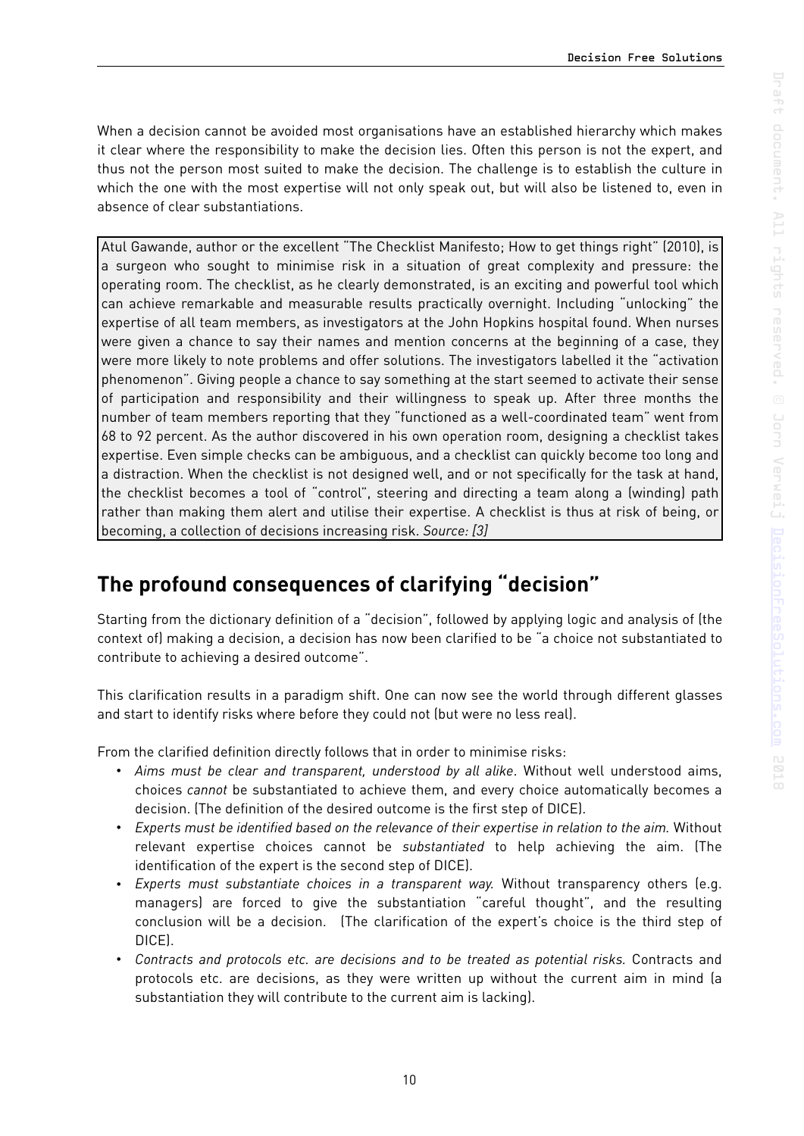When a decision cannot be avoided most organisations have an established hierarchy which makes it clear where the responsibility to make the decision lies. Often this person is not the expert, and thus not the person most suited to make the decision. The challenge is to establish the culture in which the one with the most expertise will not only speak out, but will also be listened to, even in absence of clear substantiations.

Atul Gawande, author or the excellent "The Checklist Manifesto; How to get things right" (2010), is a surgeon who sought to minimise risk in a situation of great complexity and pressure: the operating room. The checklist, as he clearly demonstrated, is an exciting and powerful tool which can achieve remarkable and measurable results practically overnight. Including "unlocking" the expertise of all team members, as investigators at the John Hopkins hospital found. When nurses were given a chance to say their names and mention concerns at the beginning of a case, they were more likely to note problems and offer solutions. The investigators labelled it the "activation phenomenon". Giving people a chance to say something at the start seemed to activate their sense of participation and responsibility and their willingness to speak up. After three months the number of team members reporting that they "functioned as a well-coordinated team" went from 68 to 92 percent. As the author discovered in his own operation room, designing a checklist takes expertise. Even simple checks can be ambiguous, and a checklist can quickly become too long and a distraction. When the checklist is not designed well, and or not specifically for the task at hand, the checklist becomes a tool of "control", steering and directing a team along a (winding) path rather than making them alert and utilise their expertise. A checklist is thus at risk of being, or becoming, a collection of decisions increasing risk. *Source: [3]*

# <span id="page-9-0"></span>**The profound consequences of clarifying "decision"**

Starting from the dictionary definition of a "decision", followed by applying logic and analysis of (the context of) making a decision, a decision has now been clarified to be "a choice not substantiated to contribute to achieving a desired outcome".

This clarification results in a paradigm shift. One can now see the world through different glasses and start to identify risks where before they could not (but were no less real).

From the clarified definition directly follows that in order to minimise risks:

- *Aims must be clear and transparent, understood by all alike*. Without well understood aims, choices *cannot* be substantiated to achieve them, and every choice automatically becomes a decision. (The definition of the desired outcome is the first step of DICE).
- *Experts must be identified based on the relevance of their expertise in relation to the aim.* Without relevant expertise choices cannot be *substantiated* to help achieving the aim. (The identification of the expert is the second step of DICE).
- *Experts must substantiate choices in a transparent way.* Without transparency others (e.g. managers) are forced to give the substantiation "careful thought", and the resulting conclusion will be a decision. (The clarification of the expert's choice is the third step of DICE).
- *Contracts and protocols etc. are decisions and to be treated as potential risks.* Contracts and protocols etc. are decisions, as they were written up without the current aim in mind (a substantiation they will contribute to the current aim is lacking).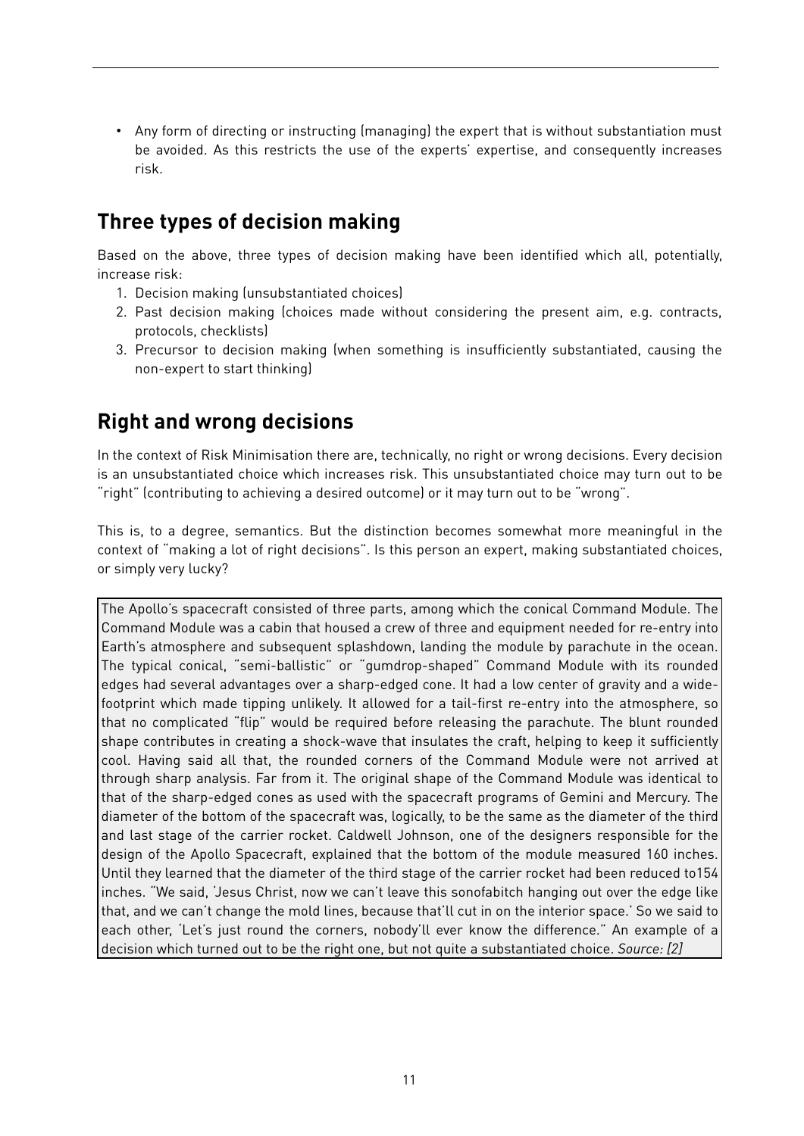• Any form of directing or instructing (managing) the expert that is without substantiation must be avoided. As this restricts the use of the experts' expertise, and consequently increases risk.

## <span id="page-10-0"></span>**Three types of decision making**

Based on the above, three types of decision making have been identified which all, potentially, increase risk:

- 1. Decision making (unsubstantiated choices)
- 2. Past decision making (choices made without considering the present aim, e.g. contracts, protocols, checklists)
- 3. Precursor to decision making (when something is insufficiently substantiated, causing the non-expert to start thinking)

## <span id="page-10-1"></span>**Right and wrong decisions**

In the context of Risk Minimisation there are, technically, no right or wrong decisions. Every decision is an unsubstantiated choice which increases risk. This unsubstantiated choice may turn out to be "right" (contributing to achieving a desired outcome) or it may turn out to be "wrong".

This is, to a degree, semantics. But the distinction becomes somewhat more meaningful in the context of "making a lot of right decisions". Is this person an expert, making substantiated choices, or simply very lucky?

The Apollo's spacecraft consisted of three parts, among which the conical Command Module. The Command Module was a cabin that housed a crew of three and equipment needed for re-entry into Earth's atmosphere and subsequent splashdown, landing the module by parachute in the ocean. The typical conical, "semi-ballistic" or "gumdrop-shaped" Command Module with its rounded edges had several advantages over a sharp-edged cone. It had a low center of gravity and a widefootprint which made tipping unlikely. It allowed for a tail-first re-entry into the atmosphere, so that no complicated "flip" would be required before releasing the parachute. The blunt rounded shape contributes in creating a shock-wave that insulates the craft, helping to keep it sufficiently cool. Having said all that, the rounded corners of the Command Module were not arrived at through sharp analysis. Far from it. The original shape of the Command Module was identical to that of the sharp-edged cones as used with the spacecraft programs of Gemini and Mercury. The diameter of the bottom of the spacecraft was, logically, to be the same as the diameter of the third and last stage of the carrier rocket. Caldwell Johnson, one of the designers responsible for the design of the Apollo Spacecraft, explained that the bottom of the module measured 160 inches. Until they learned that the diameter of the third stage of the carrier rocket had been reduced to154 inches. "We said, 'Jesus Christ, now we can't leave this sonofabitch hanging out over the edge like that, and we can't change the mold lines, because that'll cut in on the interior space.' So we said to each other, 'Let's just round the corners, nobody'll ever know the difference." An example of a decision which turned out to be the right one, but not quite a substantiated choice. *Source: [2]*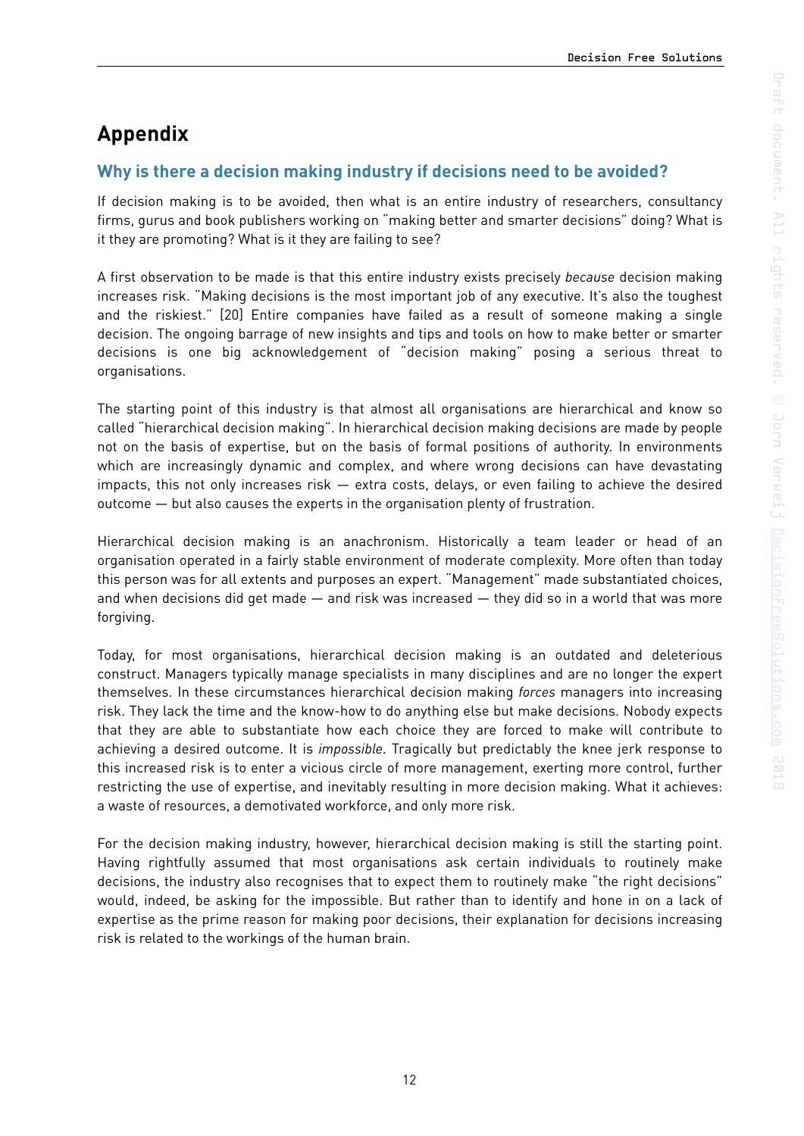# <span id="page-11-0"></span>**Appendix**

#### <span id="page-11-1"></span>**Why is there a decision making industry if decisions need to be avoided?**

If decision making is to be avoided, then what is an entire industry of researchers, consultancy firms, gurus and book publishers working on "making better and smarter decisions" doing? What is it they are promoting? What is it they are failing to see?

A first observation to be made is that this entire industry exists precisely *because* decision making increases risk. "Making decisions is the most important job of any executive. It's also the toughest and the riskiest." [20] Entire companies have failed as a result of someone making a single decision. The ongoing barrage of new insights and tips and tools on how to make better or smarter decisions is one big acknowledgement of "decision making" posing a serious threat to organisations.

The starting point of this industry is that almost all organisations are hierarchical and know so called "hierarchical decision making". In hierarchical decision making decisions are made by people not on the basis of expertise, but on the basis of formal positions of authority. In environments which are increasingly dynamic and complex, and where wrong decisions can have devastating impacts, this not only increases risk — extra costs, delays, or even failing to achieve the desired outcome — but also causes the experts in the organisation plenty of frustration.

Hierarchical decision making is an anachronism. Historically a team leader or head of an organisation operated in a fairly stable environment of moderate complexity. More often than today this person was for all extents and purposes an expert. "Management" made substantiated choices, and when decisions did get made  $-$  and risk was increased  $-$  they did so in a world that was more forgiving.

Today, for most organisations, hierarchical decision making is an outdated and deleterious construct. Managers typically manage specialists in many disciplines and are no longer the expert themselves. In these circumstances hierarchical decision making *forces* managers into increasing risk. They lack the time and the know-how to do anything else but make decisions. Nobody expects that they are able to substantiate how each choice they are forced to make will contribute to achieving a desired outcome. It is *impossible*. Tragically but predictably the knee jerk response to this increased risk is to enter a vicious circle of more management, exerting more control, further restricting the use of expertise, and inevitably resulting in more decision making. What it achieves: a waste of resources, a demotivated workforce, and only more risk.

For the decision making industry, however, hierarchical decision making is still the starting point. Having rightfully assumed that most organisations ask certain individuals to routinely make decisions, the industry also recognises that to expect them to routinely make "the right decisions" would, indeed, be asking for the impossible. But rather than to identify and hone in on a lack of expertise as the prime reason for making poor decisions, their explanation for decisions increasing risk is related to the workings of the human brain.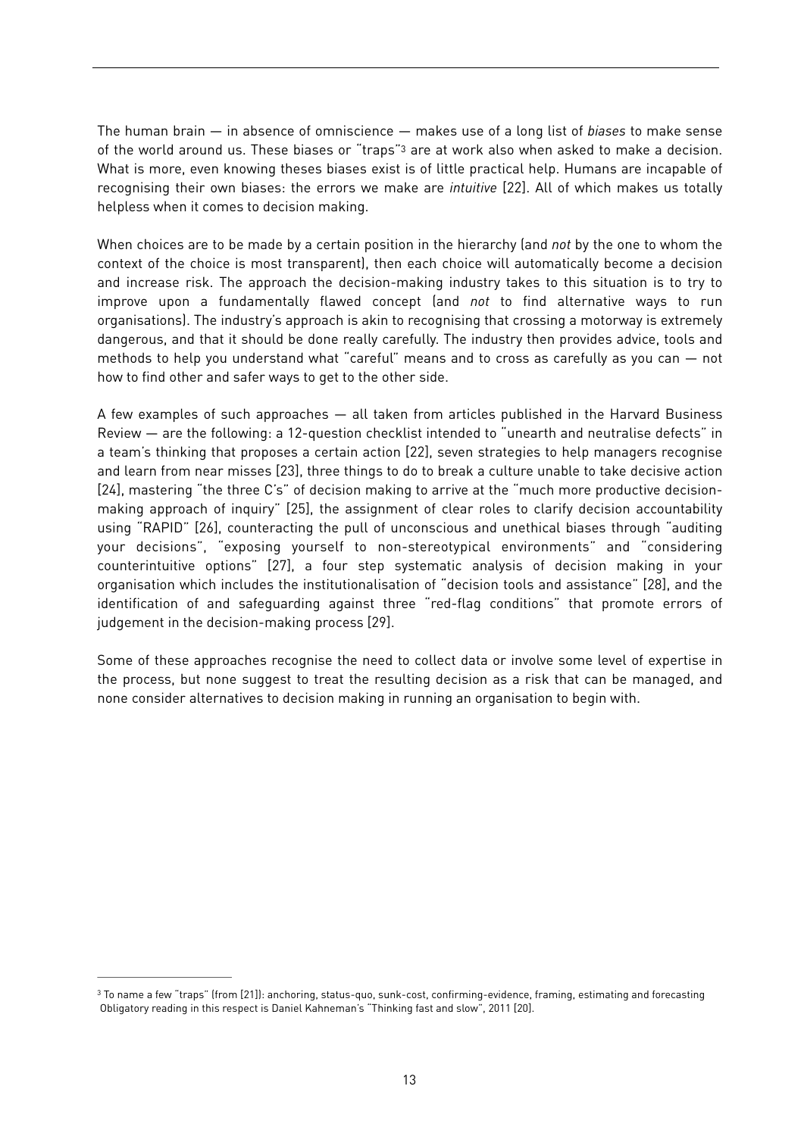<span id="page-12-1"></span>The human brain — in absence of omniscience — makes use of a long list of *biases* to make sense of the world around us. These biases or "traps"<sup>[3](#page-12-0)</sup> are at work also when asked to make a decision. What is more, even knowing theses biases exist is of little practical help. Humans are incapable of recognising their own biases: the errors we make are *intuitive* [22]. All of which makes us totally helpless when it comes to decision making.

When choices are to be made by a certain position in the hierarchy (and *not* by the one to whom the context of the choice is most transparent), then each choice will automatically become a decision and increase risk. The approach the decision-making industry takes to this situation is to try to improve upon a fundamentally flawed concept (and *not* to find alternative ways to run organisations). The industry's approach is akin to recognising that crossing a motorway is extremely dangerous, and that it should be done really carefully. The industry then provides advice, tools and methods to help you understand what "careful" means and to cross as carefully as you can — not how to find other and safer ways to get to the other side.

A few examples of such approaches — all taken from articles published in the Harvard Business Review — are the following: a 12-question checklist intended to "unearth and neutralise defects" in a team's thinking that proposes a certain action [22], seven strategies to help managers recognise and learn from near misses [23], three things to do to break a culture unable to take decisive action [24], mastering "the three C's" of decision making to arrive at the "much more productive decisionmaking approach of inquiry" [25], the assignment of clear roles to clarify decision accountability using "RAPID" [26], counteracting the pull of unconscious and unethical biases through "auditing your decisions", "exposing yourself to non-stereotypical environments" and "considering counterintuitive options" [27], a four step systematic analysis of decision making in your organisation which includes the institutionalisation of "decision tools and assistance" [28], and the identification of and safeguarding against three "red-flag conditions" that promote errors of judgement in the decision-making process [29].

Some of these approaches recognise the need to collect data or involve some level of expertise in the process, but none suggest to treat the resulting decision as a risk that can be managed, and none consider alternatives to decision making in running an organisation to begin with.

<span id="page-12-0"></span><sup>&</sup>lt;sup>3</sup>To name a few "traps" (from [21]): anchoring, status-quo, sunk-cost, confirming-evidence, framing, estimating and forecasting Obligatory reading in this respect is Daniel Kahneman's "Thinking fast and slow", 2011 [20].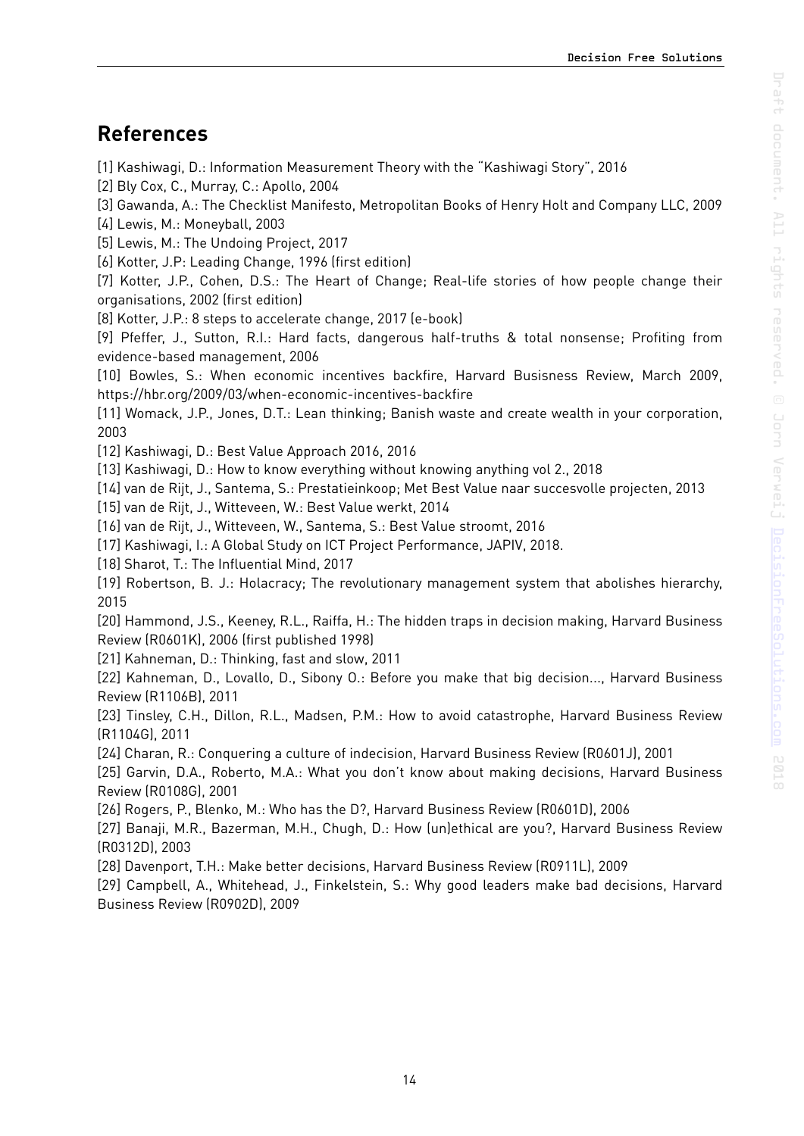### <span id="page-13-0"></span>**References**

[1] Kashiwagi, D.: Information Measurement Theory with the "Kashiwagi Story", 2016

[2] Bly Cox, C., Murray, C.: Apollo, 2004

[3] Gawanda, A.: The Checklist Manifesto, Metropolitan Books of Henry Holt and Company LLC, 2009

[4] Lewis, M.: Moneyball, 2003

[5] Lewis, M.: The Undoing Project, 2017

[6] Kotter, J.P: Leading Change, 1996 (first edition)

[7] Kotter, J.P., Cohen, D.S.: The Heart of Change; Real-life stories of how people change their organisations, 2002 (first edition)

[8] Kotter, J.P.: 8 steps to accelerate change, 2017 (e-book)

[9] Pfeffer, J., Sutton, R.I.: Hard facts, dangerous half-truths & total nonsense; Profiting from evidence-based management, 2006

[10] Bowles, S.: When economic incentives backfire, Harvard Busisness Review, March 2009, <https://hbr.org/2009/03/when-economic-incentives-backfire>

[11] Womack, J.P., Jones, D.T.: Lean thinking; Banish waste and create wealth in your corporation, 2003

[12] Kashiwagi, D.: Best Value Approach 2016, 2016

[13] Kashiwagi, D.: How to know everything without knowing anything vol 2., 2018

[14] van de Rijt, J., Santema, S.: Prestatieinkoop; Met Best Value naar succesvolle projecten, 2013

[15] van de Rijt, J., Witteveen, W.: Best Value werkt, 2014

[16] van de Rijt, J., Witteveen, W., Santema, S.: Best Value stroomt, 2016

[17] Kashiwagi, I.: A Global Study on ICT Project Performance, JAPIV, 2018.

[18] Sharot, T.: The Influential Mind, 2017

[19] Robertson, B. J.: Holacracy; The revolutionary management system that abolishes hierarchy, 2015

[20] Hammond, J.S., Keeney, R.L., Raiffa, H.: The hidden traps in decision making, Harvard Business Review (R0601K), 2006 (first published 1998)

[21] Kahneman, D.: Thinking, fast and slow, 2011

[22] Kahneman, D., Lovallo, D., Sibony O.: Before you make that big decision..., Harvard Business Review (R1106B), 2011

[23] Tinsley, C.H., Dillon, R.L., Madsen, P.M.: How to avoid catastrophe, Harvard Business Review (R1104G), 2011

[24] Charan, R.: Conquering a culture of indecision, Harvard Business Review (R0601J), 2001

[25] Garvin, D.A., Roberto, M.A.: What you don't know about making decisions, Harvard Business Review (R0108G), 2001

[26] Rogers, P., Blenko, M.: Who has the D?, Harvard Business Review (R0601D), 2006

[27] Banaji, M.R., Bazerman, M.H., Chugh, D.: How (un)ethical are you?, Harvard Business Review (R0312D), 2003

[28] Davenport, T.H.: Make better decisions, Harvard Business Review (R0911L), 2009

[29] Campbell, A., Whitehead, J., Finkelstein, S.: Why good leaders make bad decisions, Harvard Business Review (R0902D), 2009